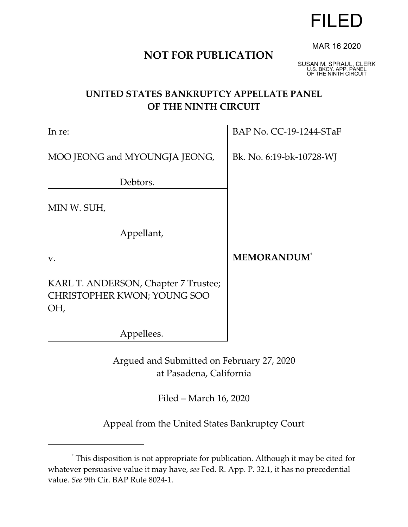# **NOT FOR PUBLICATION**

SUSAN M. SPRAUL, CLERK U.S. BKCY. APP. PANEL OF THE NINTH CIRCUIT

MAR 16 2020

FILED

# **UNITED STATES BANKRUPTCY APPELLATE PANEL OF THE NINTH CIRCUIT**

| In re:                                                                     | BAP No. CC-19-1244-STaF        |
|----------------------------------------------------------------------------|--------------------------------|
| MOO JEONG and MYOUNGJA JEONG,                                              | Bk. No. 6:19-bk-10728-WJ       |
| Debtors.                                                                   |                                |
| MIN W. SUH,                                                                |                                |
| Appellant,                                                                 |                                |
| $V_{\bullet}$                                                              | <b>MEMORANDUM</b> <sup>*</sup> |
| KARL T. ANDERSON, Chapter 7 Trustee;<br>CHRISTOPHER KWON; YOUNG SOO<br>OH, |                                |
| Appellees.                                                                 |                                |

Argued and Submitted on February 27, 2020 at Pasadena, California

Filed – March 16, 2020

Appeal from the United States Bankruptcy Court

<sup>\*</sup> This disposition is not appropriate for publication. Although it may be cited for whatever persuasive value it may have, *see* Fed. R. App. P. 32.1, it has no precedential value. *See* 9th Cir. BAP Rule 8024-1.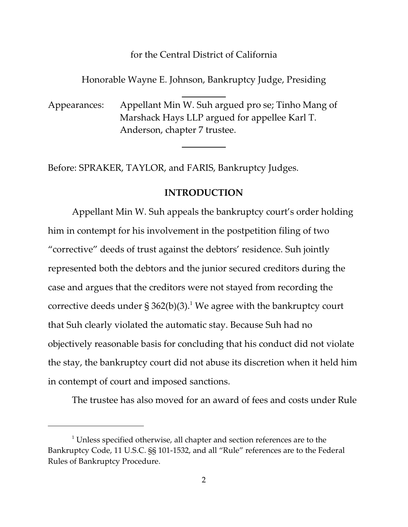#### for the Central District of California

Honorable Wayne E. Johnson, Bankruptcy Judge, Presiding

Appearances: Appellant Min W. Suh argued pro se; Tinho Mang of Marshack Hays LLP argued for appellee Karl T. Anderson, chapter 7 trustee.

 $\overline{a}$ 

 $\overline{a}$ 

Before: SPRAKER, TAYLOR, and FARIS, Bankruptcy Judges.

### **INTRODUCTION**

Appellant Min W. Suh appeals the bankruptcy court's order holding him in contempt for his involvement in the postpetition filing of two "corrective" deeds of trust against the debtors' residence. Suh jointly represented both the debtors and the junior secured creditors during the case and argues that the creditors were not stayed from recording the corrective deeds under § 362(b)(3). $^1$  We agree with the bankruptcy court that Suh clearly violated the automatic stay. Because Suh had no objectively reasonable basis for concluding that his conduct did not violate the stay, the bankruptcy court did not abuse its discretion when it held him in contempt of court and imposed sanctions.

The trustee has also moved for an award of fees and costs under Rule

 $1$  Unless specified otherwise, all chapter and section references are to the Bankruptcy Code, 11 U.S.C. §§ 101-1532, and all "Rule" references are to the Federal Rules of Bankruptcy Procedure.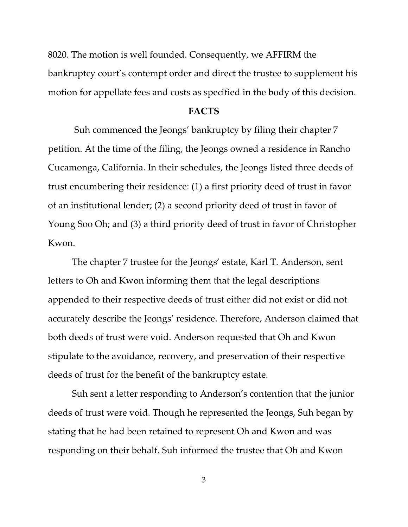8020. The motion is well founded. Consequently, we AFFIRM the bankruptcy court's contempt order and direct the trustee to supplement his motion for appellate fees and costs as specified in the body of this decision.

#### **FACTS**

 Suh commenced the Jeongs' bankruptcy by filing their chapter 7 petition. At the time of the filing, the Jeongs owned a residence in Rancho Cucamonga, California. In their schedules, the Jeongs listed three deeds of trust encumbering their residence: (1) a first priority deed of trust in favor of an institutional lender; (2) a second priority deed of trust in favor of Young Soo Oh; and (3) a third priority deed of trust in favor of Christopher Kwon.

The chapter 7 trustee for the Jeongs' estate, Karl T. Anderson, sent letters to Oh and Kwon informing them that the legal descriptions appended to their respective deeds of trust either did not exist or did not accurately describe the Jeongs' residence. Therefore, Anderson claimed that both deeds of trust were void. Anderson requested that Oh and Kwon stipulate to the avoidance, recovery, and preservation of their respective deeds of trust for the benefit of the bankruptcy estate.

Suh sent a letter responding to Anderson's contention that the junior deeds of trust were void. Though he represented the Jeongs, Suh began by stating that he had been retained to represent Oh and Kwon and was responding on their behalf. Suh informed the trustee that Oh and Kwon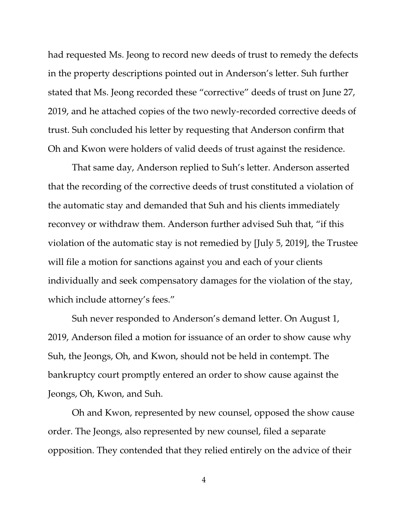had requested Ms. Jeong to record new deeds of trust to remedy the defects in the property descriptions pointed out in Anderson's letter. Suh further stated that Ms. Jeong recorded these "corrective" deeds of trust on June 27, 2019, and he attached copies of the two newly-recorded corrective deeds of trust. Suh concluded his letter by requesting that Anderson confirm that Oh and Kwon were holders of valid deeds of trust against the residence.

That same day, Anderson replied to Suh's letter. Anderson asserted that the recording of the corrective deeds of trust constituted a violation of the automatic stay and demanded that Suh and his clients immediately reconvey or withdraw them. Anderson further advised Suh that, "if this violation of the automatic stay is not remedied by [July 5, 2019], the Trustee will file a motion for sanctions against you and each of your clients individually and seek compensatory damages for the violation of the stay, which include attorney's fees."

Suh never responded to Anderson's demand letter. On August 1, 2019, Anderson filed a motion for issuance of an order to show cause why Suh, the Jeongs, Oh, and Kwon, should not be held in contempt. The bankruptcy court promptly entered an order to show cause against the Jeongs, Oh, Kwon, and Suh.

Oh and Kwon, represented by new counsel, opposed the show cause order. The Jeongs, also represented by new counsel, filed a separate opposition. They contended that they relied entirely on the advice of their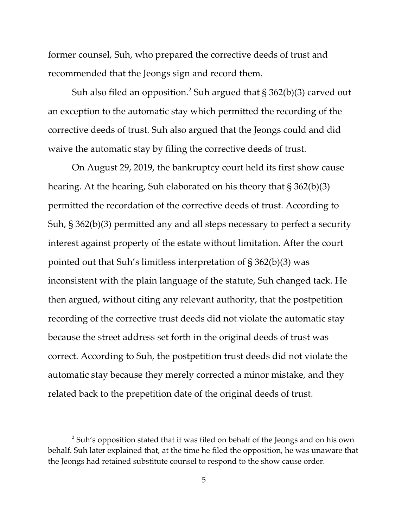former counsel, Suh, who prepared the corrective deeds of trust and recommended that the Jeongs sign and record them.

Suh also filed an opposition. $^2$  Suh argued that § 362(b)(3) carved out an exception to the automatic stay which permitted the recording of the corrective deeds of trust. Suh also argued that the Jeongs could and did waive the automatic stay by filing the corrective deeds of trust.

On August 29, 2019, the bankruptcy court held its first show cause hearing. At the hearing, Suh elaborated on his theory that § 362(b)(3) permitted the recordation of the corrective deeds of trust. According to Suh, § 362(b)(3) permitted any and all steps necessary to perfect a security interest against property of the estate without limitation. After the court pointed out that Suh's limitless interpretation of § 362(b)(3) was inconsistent with the plain language of the statute, Suh changed tack. He then argued, without citing any relevant authority, that the postpetition recording of the corrective trust deeds did not violate the automatic stay because the street address set forth in the original deeds of trust was correct. According to Suh, the postpetition trust deeds did not violate the automatic stay because they merely corrected a minor mistake, and they related back to the prepetition date of the original deeds of trust.

 $^2$  Suh's opposition stated that it was filed on behalf of the Jeongs and on his own behalf. Suh later explained that, at the time he filed the opposition, he was unaware that the Jeongs had retained substitute counsel to respond to the show cause order.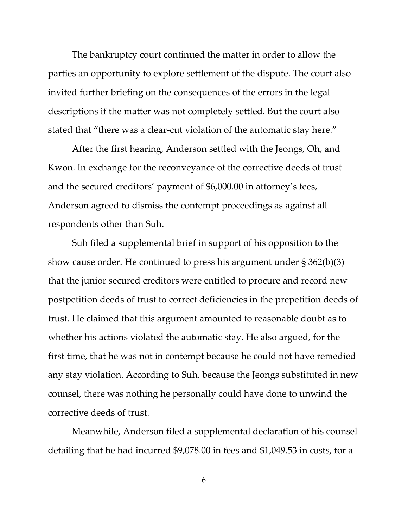The bankruptcy court continued the matter in order to allow the parties an opportunity to explore settlement of the dispute. The court also invited further briefing on the consequences of the errors in the legal descriptions if the matter was not completely settled. But the court also stated that "there was a clear-cut violation of the automatic stay here."

After the first hearing, Anderson settled with the Jeongs, Oh, and Kwon. In exchange for the reconveyance of the corrective deeds of trust and the secured creditors' payment of \$6,000.00 in attorney's fees, Anderson agreed to dismiss the contempt proceedings as against all respondents other than Suh.

Suh filed a supplemental brief in support of his opposition to the show cause order. He continued to press his argument under § 362(b)(3) that the junior secured creditors were entitled to procure and record new postpetition deeds of trust to correct deficiencies in the prepetition deeds of trust. He claimed that this argument amounted to reasonable doubt as to whether his actions violated the automatic stay. He also argued, for the first time, that he was not in contempt because he could not have remedied any stay violation. According to Suh, because the Jeongs substituted in new counsel, there was nothing he personally could have done to unwind the corrective deeds of trust.

Meanwhile, Anderson filed a supplemental declaration of his counsel detailing that he had incurred \$9,078.00 in fees and \$1,049.53 in costs, for a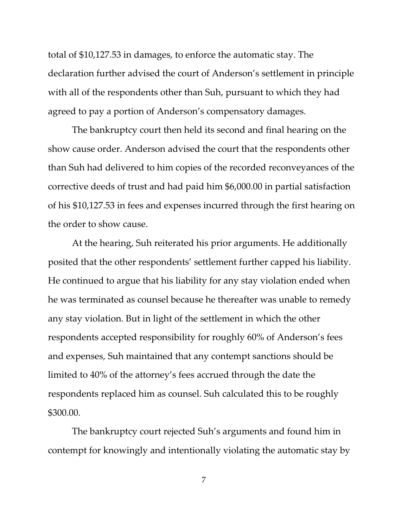total of \$10,127.53 in damages, to enforce the automatic stay. The declaration further advised the court of Anderson's settlement in principle with all of the respondents other than Suh, pursuant to which they had agreed to pay a portion of Anderson's compensatory damages.

The bankruptcy court then held its second and final hearing on the show cause order. Anderson advised the court that the respondents other than Suh had delivered to him copies of the recorded reconveyances of the corrective deeds of trust and had paid him \$6,000.00 in partial satisfaction of his \$10,127.53 in fees and expenses incurred through the first hearing on the order to show cause.

At the hearing, Suh reiterated his prior arguments. He additionally posited that the other respondents' settlement further capped his liability. He continued to argue that his liability for any stay violation ended when he was terminated as counsel because he thereafter was unable to remedy any stay violation. But in light of the settlement in which the other respondents accepted responsibility for roughly 60% of Anderson's fees and expenses, Suh maintained that any contempt sanctions should be limited to 40% of the attorney's fees accrued through the date the respondents replaced him as counsel. Suh calculated this to be roughly \$300.00.

The bankruptcy court rejected Suh's arguments and found him in contempt for knowingly and intentionally violating the automatic stay by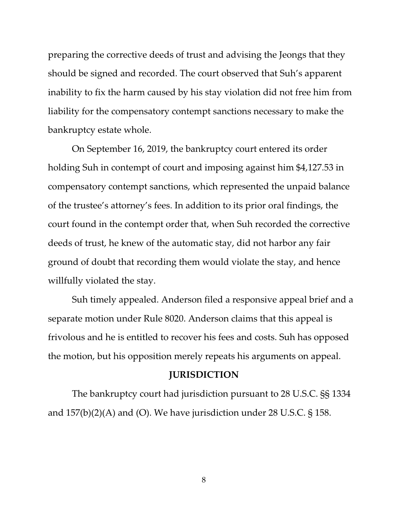preparing the corrective deeds of trust and advising the Jeongs that they should be signed and recorded. The court observed that Suh's apparent inability to fix the harm caused by his stay violation did not free him from liability for the compensatory contempt sanctions necessary to make the bankruptcy estate whole.

On September 16, 2019, the bankruptcy court entered its order holding Suh in contempt of court and imposing against him \$4,127.53 in compensatory contempt sanctions, which represented the unpaid balance of the trustee's attorney's fees. In addition to its prior oral findings, the court found in the contempt order that, when Suh recorded the corrective deeds of trust, he knew of the automatic stay, did not harbor any fair ground of doubt that recording them would violate the stay, and hence willfully violated the stay.

Suh timely appealed. Anderson filed a responsive appeal brief and a separate motion under Rule 8020. Anderson claims that this appeal is frivolous and he is entitled to recover his fees and costs. Suh has opposed the motion, but his opposition merely repeats his arguments on appeal.

#### **JURISDICTION**

The bankruptcy court had jurisdiction pursuant to 28 U.S.C. §§ 1334 and  $157(b)(2)(A)$  and (O). We have jurisdiction under 28 U.S.C. § 158.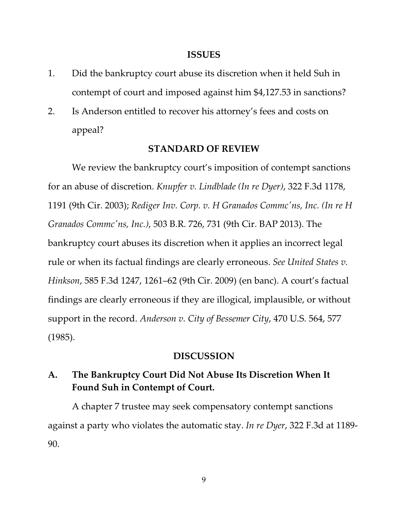#### **ISSUES**

- 1. Did the bankruptcy court abuse its discretion when it held Suh in contempt of court and imposed against him \$4,127.53 in sanctions?
- 2. Is Anderson entitled to recover his attorney's fees and costs on appeal?

#### **STANDARD OF REVIEW**

We review the bankruptcy court's imposition of contempt sanctions for an abuse of discretion. *Knupfer v. Lindblade (In re Dyer)*, 322 F.3d 1178, 1191 (9th Cir. 2003); *Rediger Inv. Corp. v. H Granados Commc'ns, Inc. (In re H Granados Commc'ns, Inc.)*, 503 B.R. 726, 731 (9th Cir. BAP 2013). The bankruptcy court abuses its discretion when it applies an incorrect legal rule or when its factual findings are clearly erroneous. *See United States v. Hinkson*, 585 F.3d 1247, 1261–62 (9th Cir. 2009) (en banc). A court's factual findings are clearly erroneous if they are illogical, implausible, or without support in the record. *Anderson v. City of Bessemer City*, 470 U.S. 564, 577 (1985).

#### **DISCUSSION**

# **A. The Bankruptcy Court Did Not Abuse Its Discretion When It Found Suh in Contempt of Court.**

A chapter 7 trustee may seek compensatory contempt sanctions against a party who violates the automatic stay. *In re Dyer*, 322 F.3d at 1189- 90.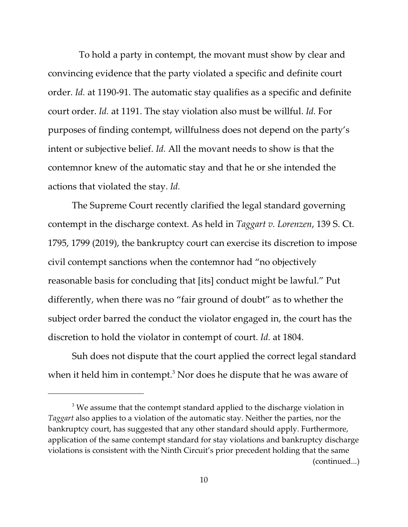To hold a party in contempt, the movant must show by clear and convincing evidence that the party violated a specific and definite court order. *Id.* at 1190-91. The automatic stay qualifies as a specific and definite court order. *Id.* at 1191. The stay violation also must be willful. *Id.* For purposes of finding contempt, willfulness does not depend on the party's intent or subjective belief. *Id.* All the movant needs to show is that the contemnor knew of the automatic stay and that he or she intended the actions that violated the stay. *Id.*

The Supreme Court recently clarified the legal standard governing contempt in the discharge context. As held in *Taggart v. Lorenzen*, 139 S. Ct. 1795, 1799 (2019), the bankruptcy court can exercise its discretion to impose civil contempt sanctions when the contemnor had "no objectively reasonable basis for concluding that [its] conduct might be lawful." Put differently, when there was no "fair ground of doubt" as to whether the subject order barred the conduct the violator engaged in, the court has the discretion to hold the violator in contempt of court. *Id.* at 1804.

Suh does not dispute that the court applied the correct legal standard when it held him in contempt. $^3$  Nor does he dispute that he was aware of

 $^{\rm 3}$  We assume that the contempt standard applied to the discharge violation in *Taggart* also applies to a violation of the automatic stay. Neither the parties, nor the bankruptcy court, has suggested that any other standard should apply. Furthermore, application of the same contempt standard for stay violations and bankruptcy discharge violations is consistent with the Ninth Circuit's prior precedent holding that the same (continued...)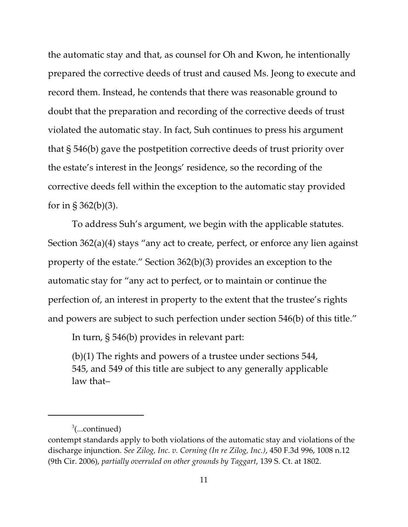the automatic stay and that, as counsel for Oh and Kwon, he intentionally prepared the corrective deeds of trust and caused Ms. Jeong to execute and record them. Instead, he contends that there was reasonable ground to doubt that the preparation and recording of the corrective deeds of trust violated the automatic stay. In fact, Suh continues to press his argument that § 546(b) gave the postpetition corrective deeds of trust priority over the estate's interest in the Jeongs' residence, so the recording of the corrective deeds fell within the exception to the automatic stay provided for in §  $362(b)(3)$ .

To address Suh's argument, we begin with the applicable statutes. Section 362(a)(4) stays "any act to create, perfect, or enforce any lien against property of the estate." Section 362(b)(3) provides an exception to the automatic stay for "any act to perfect, or to maintain or continue the perfection of, an interest in property to the extent that the trustee's rights and powers are subject to such perfection under section 546(b) of this title."

In turn, § 546(b) provides in relevant part:

(b)(1) The rights and powers of a trustee under sections 544, 545, and 549 of this title are subject to any generally applicable law that–

<sup>&</sup>lt;sup>3</sup>(...continued)

contempt standards apply to both violations of the automatic stay and violations of the discharge injunction. *See Zilog, Inc. v. Corning (In re Zilog, Inc.)*, 450 F.3d 996, 1008 n.12 (9th Cir. 2006), *partially overruled on other grounds by Taggart*, 139 S. Ct. at 1802.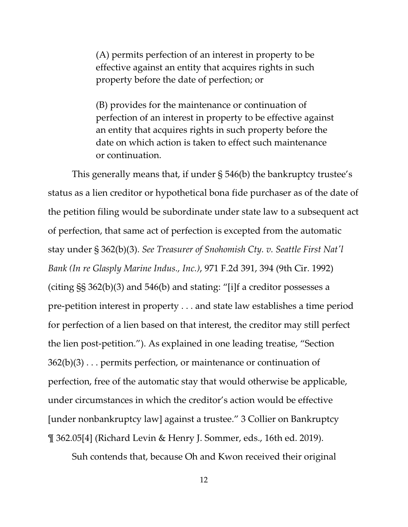(A) permits perfection of an interest in property to be effective against an entity that acquires rights in such property before the date of perfection; or

(B) provides for the maintenance or continuation of perfection of an interest in property to be effective against an entity that acquires rights in such property before the date on which action is taken to effect such maintenance or continuation.

This generally means that, if under § 546(b) the bankruptcy trustee's status as a lien creditor or hypothetical bona fide purchaser as of the date of the petition filing would be subordinate under state law to a subsequent act of perfection, that same act of perfection is excepted from the automatic stay under § 362(b)(3). *See Treasurer of Snohomish Cty. v. Seattle First Nat'l Bank (In re Glasply Marine Indus., Inc.)*, 971 F.2d 391, 394 (9th Cir. 1992) (citing §§ 362(b)(3) and 546(b) and stating: "[i]f a creditor possesses a pre-petition interest in property . . . and state law establishes a time period for perfection of a lien based on that interest, the creditor may still perfect the lien post-petition."). As explained in one leading treatise, "Section  $362(b)(3)$ ... permits perfection, or maintenance or continuation of perfection, free of the automatic stay that would otherwise be applicable, under circumstances in which the creditor's action would be effective [under nonbankruptcy law] against a trustee." 3 Collier on Bankruptcy ¶ 362.05[4] (Richard Levin & Henry J. Sommer, eds., 16th ed. 2019).

Suh contends that, because Oh and Kwon received their original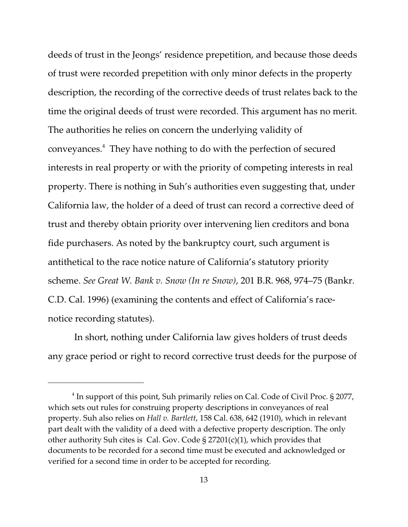deeds of trust in the Jeongs' residence prepetition, and because those deeds of trust were recorded prepetition with only minor defects in the property description, the recording of the corrective deeds of trust relates back to the time the original deeds of trust were recorded. This argument has no merit. The authorities he relies on concern the underlying validity of conveyances.<sup>4</sup> They have nothing to do with the perfection of secured interests in real property or with the priority of competing interests in real property. There is nothing in Suh's authorities even suggesting that, under California law, the holder of a deed of trust can record a corrective deed of trust and thereby obtain priority over intervening lien creditors and bona fide purchasers. As noted by the bankruptcy court, such argument is antithetical to the race notice nature of California's statutory priority scheme. *See Great W. Bank v. Snow (In re Snow)*, 201 B.R. 968, 974–75 (Bankr. C.D. Cal. 1996) (examining the contents and effect of California's racenotice recording statutes).

 In short, nothing under California law gives holders of trust deeds any grace period or right to record corrective trust deeds for the purpose of

 $^4$  In support of this point, Suh primarily relies on Cal. Code of Civil Proc. § 2077, which sets out rules for construing property descriptions in conveyances of real property. Suh also relies on *Hall v. Bartlett*, 158 Cal. 638, 642 (1910), which in relevant part dealt with the validity of a deed with a defective property description. The only other authority Suh cites is Cal. Gov. Code § 27201(c)(1), which provides that documents to be recorded for a second time must be executed and acknowledged or verified for a second time in order to be accepted for recording.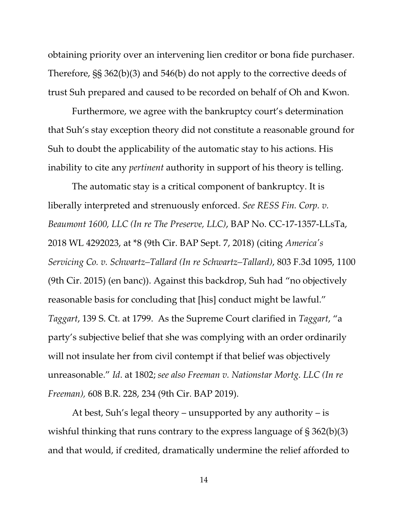obtaining priority over an intervening lien creditor or bona fide purchaser. Therefore, §§ 362(b)(3) and 546(b) do not apply to the corrective deeds of trust Suh prepared and caused to be recorded on behalf of Oh and Kwon.

Furthermore, we agree with the bankruptcy court's determination that Suh's stay exception theory did not constitute a reasonable ground for Suh to doubt the applicability of the automatic stay to his actions. His inability to cite any *pertinent* authority in support of his theory is telling.

The automatic stay is a critical component of bankruptcy. It is liberally interpreted and strenuously enforced. *See RESS Fin. Corp. v. Beaumont 1600, LLC (In re The Preserve, LLC)*, BAP No. CC-17-1357-LLsTa, 2018 WL 4292023, at \*8 (9th Cir. BAP Sept. 7, 2018) (citing *America's Servicing Co. v. Schwartz–Tallard (In re Schwartz–Tallard)*, 803 F.3d 1095, 1100 (9th Cir. 2015) (en banc)). Against this backdrop, Suh had "no objectively reasonable basis for concluding that [his] conduct might be lawful." *Taggart*, 139 S. Ct. at 1799. As the Supreme Court clarified in *Taggart*, "a party's subjective belief that she was complying with an order ordinarily will not insulate her from civil contempt if that belief was objectively unreasonable." *Id*. at 1802; *see also Freeman v. Nationstar Mortg. LLC (In re Freeman),* 608 B.R. 228, 234 (9th Cir. BAP 2019).

At best, Suh's legal theory – unsupported by any authority – is wishful thinking that runs contrary to the express language of § 362(b)(3) and that would, if credited, dramatically undermine the relief afforded to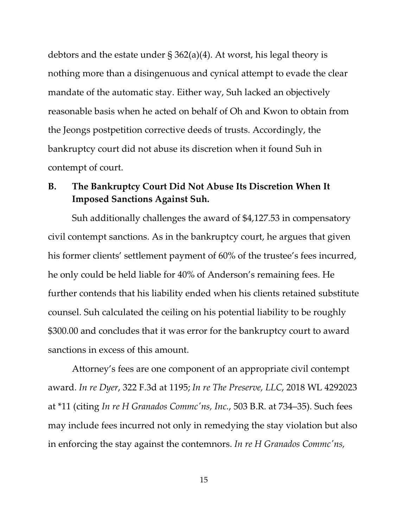debtors and the estate under § 362(a)(4). At worst, his legal theory is nothing more than a disingenuous and cynical attempt to evade the clear mandate of the automatic stay. Either way, Suh lacked an objectively reasonable basis when he acted on behalf of Oh and Kwon to obtain from the Jeongs postpetition corrective deeds of trusts. Accordingly, the bankruptcy court did not abuse its discretion when it found Suh in contempt of court.

### **B. The Bankruptcy Court Did Not Abuse Its Discretion When It Imposed Sanctions Against Suh.**

Suh additionally challenges the award of \$4,127.53 in compensatory civil contempt sanctions. As in the bankruptcy court, he argues that given his former clients' settlement payment of 60% of the trustee's fees incurred, he only could be held liable for 40% of Anderson's remaining fees. He further contends that his liability ended when his clients retained substitute counsel. Suh calculated the ceiling on his potential liability to be roughly \$300.00 and concludes that it was error for the bankruptcy court to award sanctions in excess of this amount.

Attorney's fees are one component of an appropriate civil contempt award. *In re Dyer*, 322 F.3d at 1195; *In re The Preserve, LLC*, 2018 WL 4292023 at \*11 (citing *In re H Granados Commc'ns, Inc.*, 503 B.R. at 734–35). Such fees may include fees incurred not only in remedying the stay violation but also in enforcing the stay against the contemnors. *In re H Granados Commc'ns,*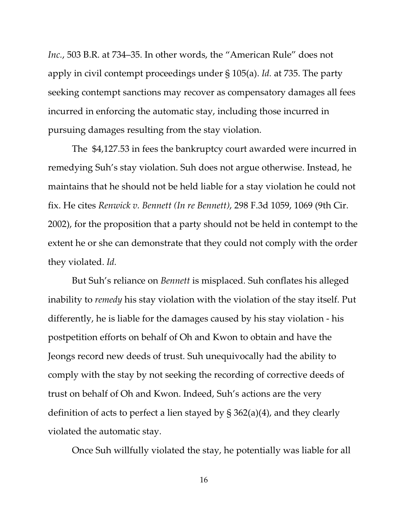*Inc.*, 503 B.R. at 734–35. In other words, the "American Rule" does not apply in civil contempt proceedings under § 105(a). *Id.* at 735. The party seeking contempt sanctions may recover as compensatory damages all fees incurred in enforcing the automatic stay, including those incurred in pursuing damages resulting from the stay violation.

The \$4,127.53 in fees the bankruptcy court awarded were incurred in remedying Suh's stay violation. Suh does not argue otherwise. Instead, he maintains that he should not be held liable for a stay violation he could not fix. He cites *Renwick v. Bennett (In re Bennett)*, 298 F.3d 1059, 1069 (9th Cir. 2002), for the proposition that a party should not be held in contempt to the extent he or she can demonstrate that they could not comply with the order they violated. *Id.*

But Suh's reliance on *Bennett* is misplaced. Suh conflates his alleged inability to *remedy* his stay violation with the violation of the stay itself. Put differently, he is liable for the damages caused by his stay violation - his postpetition efforts on behalf of Oh and Kwon to obtain and have the Jeongs record new deeds of trust. Suh unequivocally had the ability to comply with the stay by not seeking the recording of corrective deeds of trust on behalf of Oh and Kwon. Indeed, Suh's actions are the very definition of acts to perfect a lien stayed by § 362(a)(4), and they clearly violated the automatic stay.

Once Suh willfully violated the stay, he potentially was liable for all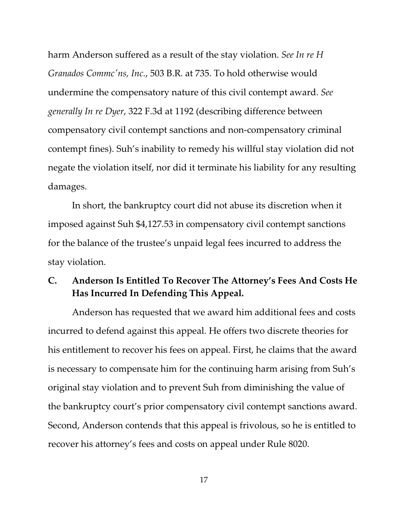harm Anderson suffered as a result of the stay violation. *See In re H Granados Commc'ns, Inc.*, 503 B.R. at 735. To hold otherwise would undermine the compensatory nature of this civil contempt award. *See generally In re Dyer*, 322 F.3d at 1192 (describing difference between compensatory civil contempt sanctions and non-compensatory criminal contempt fines). Suh's inability to remedy his willful stay violation did not negate the violation itself, nor did it terminate his liability for any resulting damages.

In short, the bankruptcy court did not abuse its discretion when it imposed against Suh \$4,127.53 in compensatory civil contempt sanctions for the balance of the trustee's unpaid legal fees incurred to address the stay violation.

## **C. Anderson Is Entitled To Recover The Attorney's Fees And Costs He Has Incurred In Defending This Appeal.**

Anderson has requested that we award him additional fees and costs incurred to defend against this appeal. He offers two discrete theories for his entitlement to recover his fees on appeal. First, he claims that the award is necessary to compensate him for the continuing harm arising from Suh's original stay violation and to prevent Suh from diminishing the value of the bankruptcy court's prior compensatory civil contempt sanctions award. Second, Anderson contends that this appeal is frivolous, so he is entitled to recover his attorney's fees and costs on appeal under Rule 8020.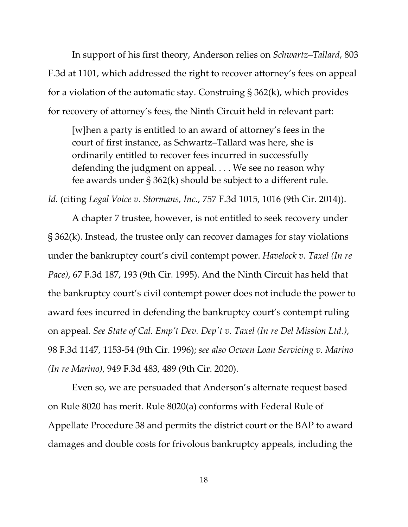In support of his first theory, Anderson relies on *Schwartz–Tallard*, 803 F.3d at 1101, which addressed the right to recover attorney's fees on appeal for a violation of the automatic stay. Construing § 362(k), which provides for recovery of attorney's fees, the Ninth Circuit held in relevant part:

[w]hen a party is entitled to an award of attorney's fees in the court of first instance, as Schwartz–Tallard was here, she is ordinarily entitled to recover fees incurred in successfully defending the judgment on appeal. . . . We see no reason why fee awards under § 362(k) should be subject to a different rule.

*Id.* (citing *Legal Voice v. Stormans, Inc.*, 757 F.3d 1015, 1016 (9th Cir. 2014)).

A chapter 7 trustee, however, is not entitled to seek recovery under § 362(k). Instead, the trustee only can recover damages for stay violations under the bankruptcy court's civil contempt power. *Havelock v. Taxel (In re Pace)*, 67 F.3d 187, 193 (9th Cir. 1995). And the Ninth Circuit has held that the bankruptcy court's civil contempt power does not include the power to award fees incurred in defending the bankruptcy court's contempt ruling on appeal. *See State of Cal. Emp't Dev. Dep't v. Taxel (In re Del Mission Ltd.)*, 98 F.3d 1147, 1153-54 (9th Cir. 1996); *see also Ocwen Loan Servicing v. Marino (In re Marino)*, 949 F.3d 483, 489 (9th Cir. 2020).

Even so, we are persuaded that Anderson's alternate request based on Rule 8020 has merit. Rule 8020(a) conforms with Federal Rule of Appellate Procedure 38 and permits the district court or the BAP to award damages and double costs for frivolous bankruptcy appeals, including the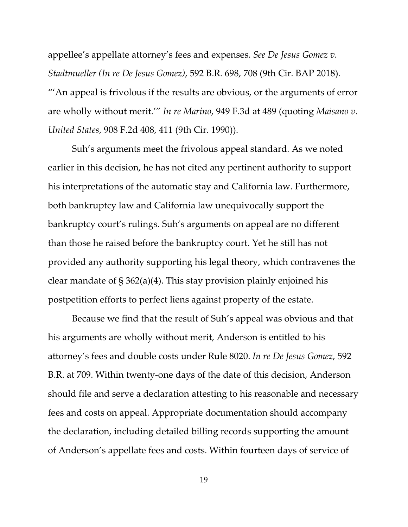appellee's appellate attorney's fees and expenses. *See De Jesus Gomez v. Stadtmueller (In re De Jesus Gomez)*, 592 B.R. 698, 708 (9th Cir. BAP 2018). "'An appeal is frivolous if the results are obvious, or the arguments of error are wholly without merit.'" *In re Marino*, 949 F.3d at 489 (quoting *Maisano v. United States*, 908 F.2d 408, 411 (9th Cir. 1990)).

Suh's arguments meet the frivolous appeal standard. As we noted earlier in this decision, he has not cited any pertinent authority to support his interpretations of the automatic stay and California law. Furthermore, both bankruptcy law and California law unequivocally support the bankruptcy court's rulings. Suh's arguments on appeal are no different than those he raised before the bankruptcy court. Yet he still has not provided any authority supporting his legal theory, which contravenes the clear mandate of § 362(a)(4). This stay provision plainly enjoined his postpetition efforts to perfect liens against property of the estate.

Because we find that the result of Suh's appeal was obvious and that his arguments are wholly without merit, Anderson is entitled to his attorney's fees and double costs under Rule 8020. *In re De Jesus Gomez*, 592 B.R. at 709. Within twenty-one days of the date of this decision, Anderson should file and serve a declaration attesting to his reasonable and necessary fees and costs on appeal. Appropriate documentation should accompany the declaration, including detailed billing records supporting the amount of Anderson's appellate fees and costs. Within fourteen days of service of